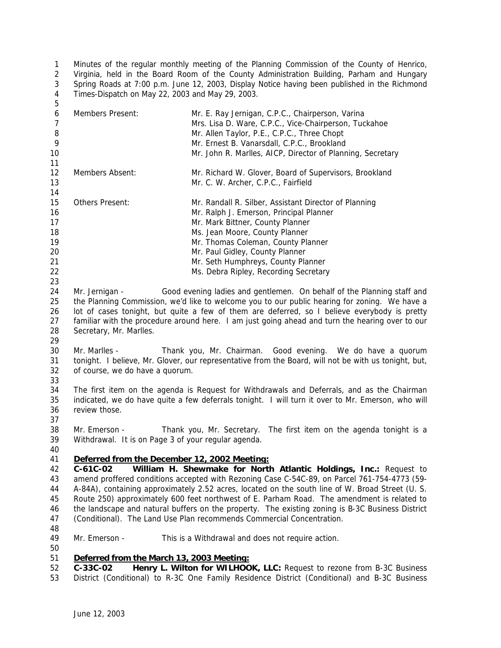Minutes of the regular monthly meeting of the Planning Commission of the County of Henrico, Virginia, held in the Board Room of the County Administration Building, Parham and Hungary Spring Roads at 7:00 p.m. June 12, 2003, Display Notice having been published in the Richmond Times-Dispatch on May 22, 2003 and May 29, 2003. 

| 6<br>7 | Members Present:                                                                                     | Mr. E. Ray Jernigan, C.P.C., Chairperson, Varina<br>Mrs. Lisa D. Ware, C.P.C., Vice-Chairperson, Tuckahoe |  |
|--------|------------------------------------------------------------------------------------------------------|-----------------------------------------------------------------------------------------------------------|--|
| 8      |                                                                                                      | Mr. Allen Taylor, P.E., C.P.C., Three Chopt                                                               |  |
| 9      |                                                                                                      | Mr. Ernest B. Vanarsdall, C.P.C., Brookland                                                               |  |
| 10     |                                                                                                      | Mr. John R. Marlles, AICP, Director of Planning, Secretary                                                |  |
| 11     |                                                                                                      |                                                                                                           |  |
| 12     | Members Absent:                                                                                      | Mr. Richard W. Glover, Board of Supervisors, Brookland                                                    |  |
| 13     |                                                                                                      | Mr. C. W. Archer, C.P.C., Fairfield                                                                       |  |
| 14     |                                                                                                      |                                                                                                           |  |
| 15     | Others Present:                                                                                      | Mr. Randall R. Silber, Assistant Director of Planning                                                     |  |
| 16     |                                                                                                      | Mr. Ralph J. Emerson, Principal Planner                                                                   |  |
| 17     |                                                                                                      | Mr. Mark Bittner, County Planner                                                                          |  |
| 18     |                                                                                                      | Ms. Jean Moore, County Planner                                                                            |  |
| 19     |                                                                                                      | Mr. Thomas Coleman, County Planner                                                                        |  |
| 20     |                                                                                                      | Mr. Paul Gidley, County Planner                                                                           |  |
| 21     |                                                                                                      | Mr. Seth Humphreys, County Planner                                                                        |  |
| 22     |                                                                                                      | Ms. Debra Ripley, Recording Secretary                                                                     |  |
| 23     |                                                                                                      |                                                                                                           |  |
| 24     | Mr. Jernigan -                                                                                       | Good evening ladies and gentlemen. On behalf of the Planning staff and                                    |  |
| 25     | the Planning Commission, we'd like to welcome you to our public hearing for zoning. We have a        |                                                                                                           |  |
| 26     | lot of cases tonight, but quite a few of them are deferred, so I believe everybody is pretty         |                                                                                                           |  |
| 27     | familiar with the procedure around here. I am just going ahead and turn the hearing over to our      |                                                                                                           |  |
| 28     | Secretary, Mr. Marlles.                                                                              |                                                                                                           |  |
| 29     |                                                                                                      |                                                                                                           |  |
| 30     | Mr. Marlles -                                                                                        | Thank you, Mr. Chairman. Good evening. We do have a quorum                                                |  |
| 31     | tonight. I believe, Mr. Glover, our representative from the Board, will not be with us tonight, but, |                                                                                                           |  |
| 32     | of course, we do have a quorum.                                                                      |                                                                                                           |  |
| 33     |                                                                                                      |                                                                                                           |  |
| 34     |                                                                                                      | The first item on the agenda is Request for Withdrawals and Deferrals, and as the Chairman                |  |
| 35     | indicated, we do have quite a few deferrals tonight. I will turn it over to Mr. Emerson, who will    |                                                                                                           |  |
| 36     | review those.                                                                                        |                                                                                                           |  |
| 37     |                                                                                                      |                                                                                                           |  |
| 38     | Mr. Emerson -                                                                                        | Thank you, Mr. Secretary. The first item on the agenda tonight is a                                       |  |
| 39     | Withdrawal. It is on Page 3 of your regular agenda.                                                  |                                                                                                           |  |
| 40     |                                                                                                      |                                                                                                           |  |
| 41     | Deferred from the December 12, 2002 Meeting:                                                         |                                                                                                           |  |
| 42     | $C-61C-02$                                                                                           | William H. Shewmake for North Atlantic Holdings, Inc.: Request to                                         |  |
| 43     |                                                                                                      | amend proffered conditions accepted with Rezoning Case C-54C-89, on Parcel 761-754-4773 (59-              |  |
| 44     |                                                                                                      | A-84A), containing approximately 2.52 acres, located on the south line of W. Broad Street (U. S.          |  |
| 45     | Route 250) approximately 600 feet northwest of E. Parham Road. The amendment is related to           |                                                                                                           |  |
| 46     | the landscape and natural buffers on the property. The existing zoning is B-3C Business District     |                                                                                                           |  |
| 47     |                                                                                                      | (Conditional). The Land Use Plan recommends Commercial Concentration.                                     |  |
| 48     |                                                                                                      |                                                                                                           |  |
| 49     | Mr. Emerson -                                                                                        | This is a Withdrawal and does not require action.                                                         |  |
| 50     |                                                                                                      |                                                                                                           |  |
| 51     | Deferred from the March 13, 2003 Meeting:                                                            |                                                                                                           |  |
| 52     | C-33C-02                                                                                             | Henry L. Wilton for WILHOOK, LLC: Request to rezone from B-3C Business                                    |  |
| 53     |                                                                                                      | District (Conditional) to R-3C One Family Residence District (Conditional) and B-3C Business              |  |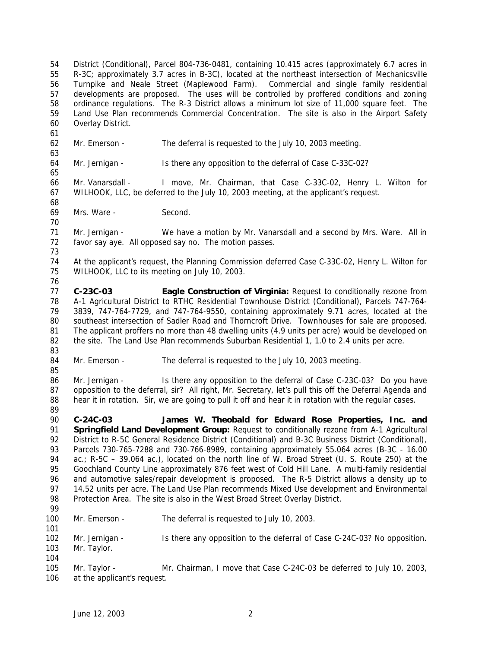District (Conditional), Parcel 804-736-0481, containing 10.415 acres (approximately 6.7 acres in R-3C; approximately 3.7 acres in B-3C), located at the northeast intersection of Mechanicsville Turnpike and Neale Street (Maplewood Farm). Commercial and single family residential developments are proposed. The uses will be controlled by proffered conditions and zoning ordinance regulations. The R-3 District allows a minimum lot size of 11,000 square feet. The Land Use Plan recommends Commercial Concentration. The site is also in the Airport Safety Overlay District. Mr. Emerson - The deferral is requested to the July 10, 2003 meeting. Mr. Jernigan - Is there any opposition to the deferral of Case C-33C-02? Mr. Vanarsdall - I move, Mr. Chairman, that Case C-33C-02, Henry L. Wilton for WILHOOK, LLC, be deferred to the July 10, 2003 meeting, at the applicant's request. Mrs. Ware - Second. Mr. Jernigan - We have a motion by Mr. Vanarsdall and a second by Mrs. Ware. All in favor say aye. All opposed say no. The motion passes. At the applicant's request, the Planning Commission deferred Case C-33C-02, Henry L. Wilton for WILHOOK, LLC to its meeting on July 10, 2003. **C-23C-03 Eagle Construction of Virginia:** Request to conditionally rezone from A-1 Agricultural District to RTHC Residential Townhouse District (Conditional), Parcels 747-764- 3839, 747-764-7729, and 747-764-9550, containing approximately 9.71 acres, located at the southeast intersection of Sadler Road and Thorncroft Drive. Townhouses for sale are proposed. The applicant proffers no more than 48 dwelling units (4.9 units per acre) would be developed on 82 the site. The Land Use Plan recommends Suburban Residential 1, 1.0 to 2.4 units per acre. 84 Mr. Emerson - The deferral is requested to the July 10, 2003 meeting. Mr. Jernigan - Is there any opposition to the deferral of Case C-23C-03? Do you have 87 opposition to the deferral, sir? All right, Mr. Secretary, let's pull this off the Deferral Agenda and hear it in rotation. Sir, we are going to pull it off and hear it in rotation with the regular cases. **C-24C-03 James W. Theobald for Edward Rose Properties, Inc. and Springfield Land Development Group:** Request to conditionally rezone from A-1 Agricultural 92 District to R-5C General Residence District (Conditional) and B-3C Business District (Conditional), Parcels 730-765-7288 and 730-766-8989, containing approximately 55.064 acres (B-3C - 16.00 ac.; R-5C – 39.064 ac.), located on the north line of W. Broad Street (U. S. Route 250) at the Goochland County Line approximately 876 feet west of Cold Hill Lane. A multi-family residential and automotive sales/repair development is proposed. The R-5 District allows a density up to 14.52 units per acre. The Land Use Plan recommends Mixed Use development and Environmental Protection Area. The site is also in the West Broad Street Overlay District. Mr. Emerson - The deferral is requested to July 10, 2003. 102 Mr. Jernigan - Is there any opposition to the deferral of Case C-24C-03? No opposition. Mr. Taylor. Mr. Taylor - Mr. Chairman, I move that Case C-24C-03 be deferred to July 10, 2003, at the applicant's request.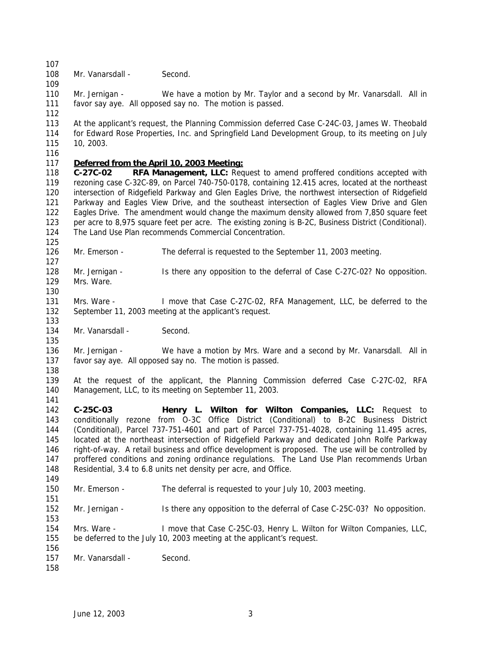108 Mr. Vanarsdall - Second.

110 Mr. Jernigan - We have a motion by Mr. Taylor and a second by Mr. Vanarsdall. All in favor say aye. All opposed say no. The motion is passed. 

 At the applicant's request, the Planning Commission deferred Case C-24C-03, James W. Theobald for Edward Rose Properties, Inc. and Springfield Land Development Group, to its meeting on July 10, 2003.

## *Deferred from the April 10, 2003 Meeting:*

 **C-27C-02 RFA Management, LLC:** Request to amend proffered conditions accepted with rezoning case C-32C-89, on Parcel 740-750-0178, containing 12.415 acres, located at the northeast intersection of Ridgefield Parkway and Glen Eagles Drive, the northwest intersection of Ridgefield Parkway and Eagles View Drive, and the southeast intersection of Eagles View Drive and Glen Eagles Drive. The amendment would change the maximum density allowed from 7,850 square feet per acre to 8,975 square feet per acre. The existing zoning is B-2C, Business District (Conditional). The Land Use Plan recommends Commercial Concentration.

126 Mr. Emerson - The deferral is requested to the September 11, 2003 meeting. 

 Mr. Jernigan - Is there any opposition to the deferral of Case C-27C-02? No opposition. Mrs. Ware.

 Mrs. Ware - I move that Case C-27C-02, RFA Management, LLC, be deferred to the September 11, 2003 meeting at the applicant's request.

134 Mr. Vanarsdall - Second.

 Mr. Jernigan - We have a motion by Mrs. Ware and a second by Mr. Vanarsdall. All in favor say aye. All opposed say no. The motion is passed.

 At the request of the applicant, the Planning Commission deferred Case C-27C-02, RFA Management, LLC, to its meeting on September 11, 2003.

 **C-25C-03 Henry L. Wilton for Wilton Companies, LLC:** Request to conditionally rezone from O-3C Office District (Conditional) to B-2C Business District (Conditional), Parcel 737-751-4601 and part of Parcel 737-751-4028, containing 11.495 acres, located at the northeast intersection of Ridgefield Parkway and dedicated John Rolfe Parkway right-of-way. A retail business and office development is proposed. The use will be controlled by 147 proffered conditions and zoning ordinance regulations. The Land Use Plan recommends Urban Residential, 3.4 to 6.8 units net density per acre, and Office. 

Mr. Emerson - The deferral is requested to your July 10, 2003 meeting.

152 Mr. Jernigan - Is there any opposition to the deferral of Case C-25C-03? No opposition.

 Mrs. Ware - I move that Case C-25C-03, Henry L. Wilton for Wilton Companies, LLC, be deferred to the July 10, 2003 meeting at the applicant's request.

157 Mr. Vanarsdall - Second.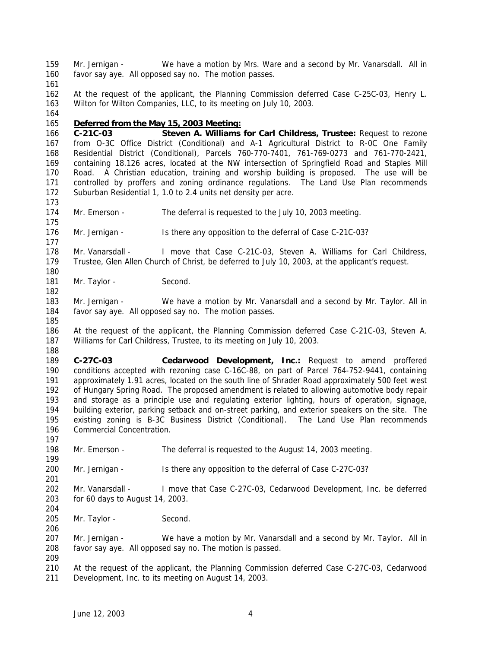Mr. Jernigan - We have a motion by Mrs. Ware and a second by Mr. Vanarsdall. All in favor say aye. All opposed say no. The motion passes.

 At the request of the applicant, the Planning Commission deferred Case C-25C-03, Henry L. Wilton for Wilton Companies, LLC, to its meeting on July 10, 2003.

## *Deferred from the May 15, 2003 Meeting:*

 **C-21C-03 Steven A. Williams for Carl Childress, Trustee:** Request to rezone from O-3C Office District (Conditional) and A-1 Agricultural District to R-0C One Family Residential District (Conditional), Parcels 760-770-7401, 761-769-0273 and 761-770-2421, containing 18.126 acres, located at the NW intersection of Springfield Road and Staples Mill Road. A Christian education, training and worship building is proposed. The use will be controlled by proffers and zoning ordinance regulations. The Land Use Plan recommends Suburban Residential 1, 1.0 to 2.4 units net density per acre.

- Mr. Emerson The deferral is requested to the July 10, 2003 meeting.
- Mr. Jernigan Is there any opposition to the deferral of Case C-21C-03?
- 178 Mr. Vanarsdall I move that Case C-21C-03, Steven A. Williams for Carl Childress, Trustee, Glen Allen Church of Christ, be deferred to July 10, 2003, at the applicant's request.
- 181 Mr. Taylor Second.
- 183 Mr. Jernigan We have a motion by Mr. Vanarsdall and a second by Mr. Taylor. All in favor say aye. All opposed say no. The motion passes.
- At the request of the applicant, the Planning Commission deferred Case C-21C-03, Steven A. Williams for Carl Childress, Trustee, to its meeting on July 10, 2003.

 **C-27C-03 Cedarwood Development, Inc.:** Request to amend proffered conditions accepted with rezoning case C-16C-88, on part of Parcel 764-752-9441, containing approximately 1.91 acres, located on the south line of Shrader Road approximately 500 feet west of Hungary Spring Road. The proposed amendment is related to allowing automotive body repair and storage as a principle use and regulating exterior lighting, hours of operation, signage, 194 building exterior, parking setback and on-street parking, and exterior speakers on the site. The 195 existing zoning is B-3C Business District (Conditional). The Land Use Plan recommends existing zoning is B-3C Business District (Conditional). The Land Use Plan recommends Commercial Concentration.

- Mr. Emerson The deferral is requested to the August 14, 2003 meeting.
- Mr. Jernigan Is there any opposition to the deferral of Case C-27C-03?
- Mr. Vanarsdall I move that Case C-27C-03, Cedarwood Development, Inc. be deferred for 60 days to August 14, 2003.
- 205 Mr. Taylor Second.

 Mr. Jernigan - We have a motion by Mr. Vanarsdall and a second by Mr. Taylor. All in favor say aye. All opposed say no. The motion is passed.

- 
- At the request of the applicant, the Planning Commission deferred Case C-27C-03, Cedarwood Development, Inc. to its meeting on August 14, 2003.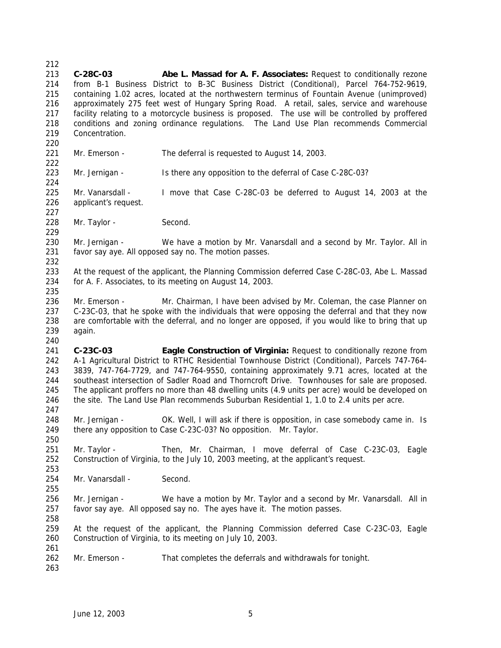**C-28C-03 Abe L. Massad for A. F. Associates:** Request to conditionally rezone from B-1 Business District to B-3C Business District (Conditional), Parcel 764-752-9619, containing 1.02 acres, located at the northwestern terminus of Fountain Avenue (unimproved) approximately 275 feet west of Hungary Spring Road. A retail, sales, service and warehouse facility relating to a motorcycle business is proposed. The use will be controlled by proffered conditions and zoning ordinance regulations. The Land Use Plan recommends Commercial Concentration. 221 Mr. Emerson - The deferral is requested to August 14, 2003. Mr. Jernigan - Is there any opposition to the deferral of Case C-28C-03? Mr. Vanarsdall - I move that Case C-28C-03 be deferred to August 14, 2003 at the applicant's request. 228 Mr. Taylor - Second. Mr. Jernigan - We have a motion by Mr. Vanarsdall and a second by Mr. Taylor. All in favor say aye. All opposed say no. The motion passes. At the request of the applicant, the Planning Commission deferred Case C-28C-03, Abe L. Massad for A. F. Associates, to its meeting on August 14, 2003. 236 Mr. Emerson - Mr. Chairman, I have been advised by Mr. Coleman, the case Planner on C-23C-03, that he spoke with the individuals that were opposing the deferral and that they now are comfortable with the deferral, and no longer are opposed, if you would like to bring that up again. **C-23C-03 Eagle Construction of Virginia:** Request to conditionally rezone from A-1 Agricultural District to RTHC Residential Townhouse District (Conditional), Parcels 747-764- 3839, 747-764-7729, and 747-764-9550, containing approximately 9.71 acres, located at the southeast intersection of Sadler Road and Thorncroft Drive. Townhouses for sale are proposed. The applicant proffers no more than 48 dwelling units (4.9 units per acre) would be developed on the site. The Land Use Plan recommends Suburban Residential 1, 1.0 to 2.4 units per acre. 248 Mr. Jernigan - OK. Well, I will ask if there is opposition, in case somebody came in. Is there any opposition to Case C-23C-03? No opposition. Mr. Taylor. Mr. Taylor - Then, Mr. Chairman, I move deferral of Case C-23C-03, Eagle Construction of Virginia, to the July 10, 2003 meeting, at the applicant's request. 254 Mr. Vanarsdall - Second. Mr. Jernigan - We have a motion by Mr. Taylor and a second by Mr. Vanarsdall. All in favor say aye. All opposed say no. The ayes have it. The motion passes. At the request of the applicant, the Planning Commission deferred Case C-23C-03, Eagle Construction of Virginia, to its meeting on July 10, 2003. 262 Mr. Emerson - That completes the deferrals and withdrawals for tonight.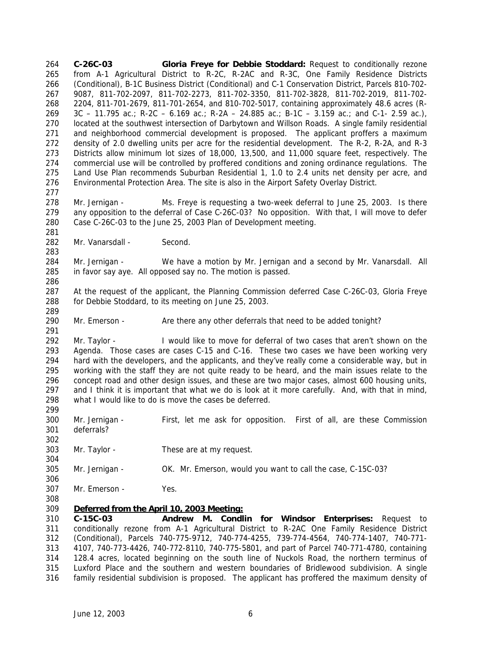**C-26C-03 Gloria Freye for Debbie Stoddard:** Request to conditionally rezone from A-1 Agricultural District to R-2C, R-2AC and R-3C, One Family Residence Districts (Conditional), B-1C Business District (Conditional) and C-1 Conservation District, Parcels 810-702- 9087, 811-702-2097, 811-702-2273, 811-702-3350, 811-702-3828, 811-702-2019, 811-702- 2204, 811-701-2679, 811-701-2654, and 810-702-5017, containing approximately 48.6 acres (R- 3C – 11.795 ac.; R-2C – 6.169 ac.; R-2A – 24.885 ac.; B-1C – 3.159 ac.; and C-1- 2.59 ac.), located at the southwest intersection of Darbytown and Willson Roads. A single family residential and neighborhood commercial development is proposed. The applicant proffers a maximum density of 2.0 dwelling units per acre for the residential development. The R-2, R-2A, and R-3 Districts allow minimum lot sizes of 18,000, 13,500, and 11,000 square feet, respectively. The commercial use will be controlled by proffered conditions and zoning ordinance regulations. The Land Use Plan recommends Suburban Residential 1, 1.0 to 2.4 units net density per acre, and Environmental Protection Area. The site is also in the Airport Safety Overlay District. Mr. Jernigan - Ms. Freye is requesting a two-week deferral to June 25, 2003. Is there any opposition to the deferral of Case C-26C-03? No opposition. With that, I will move to defer Case C-26C-03 to the June 25, 2003 Plan of Development meeting. 282 Mr. Vanarsdall - Second. Mr. Jernigan - We have a motion by Mr. Jernigan and a second by Mr. Vanarsdall. All in favor say aye. All opposed say no. The motion is passed. At the request of the applicant, the Planning Commission deferred Case C-26C-03, Gloria Freye for Debbie Stoddard, to its meeting on June 25, 2003. Mr. Emerson - Are there any other deferrals that need to be added tonight? Mr. Taylor - I would like to move for deferral of two cases that aren't shown on the Agenda. Those cases are cases C-15 and C-16. These two cases we have been working very hard with the developers, and the applicants, and they've really come a considerable way, but in working with the staff they are not quite ready to be heard, and the main issues relate to the concept road and other design issues, and these are two major cases, almost 600 housing units, and I think it is important that what we do is look at it more carefully. And, with that in mind, what I would like to do is move the cases be deferred. Mr. Jernigan - First, let me ask for opposition. First of all, are these Commission deferrals? Mr. Taylor - These are at my request. Mr. Jernigan - OK. Mr. Emerson, would you want to call the case, C-15C-03? Mr. Emerson - Yes. *Deferred from the April 10, 2003 Meeting:* **C-15C-03 Andrew M. Condlin for Windsor Enterprises:** Request to conditionally rezone from A-1 Agricultural District to R-2AC One Family Residence District (Conditional), Parcels 740-775-9712, 740-774-4255, 739-774-4564, 740-774-1407, 740-771- 4107, 740-773-4426, 740-772-8110, 740-775-5801, and part of Parcel 740-771-4780, containing 128.4 acres, located beginning on the south line of Nuckols Road, the northern terminus of Luxford Place and the southern and western boundaries of Bridlewood subdivision. A single family residential subdivision is proposed. The applicant has proffered the maximum density of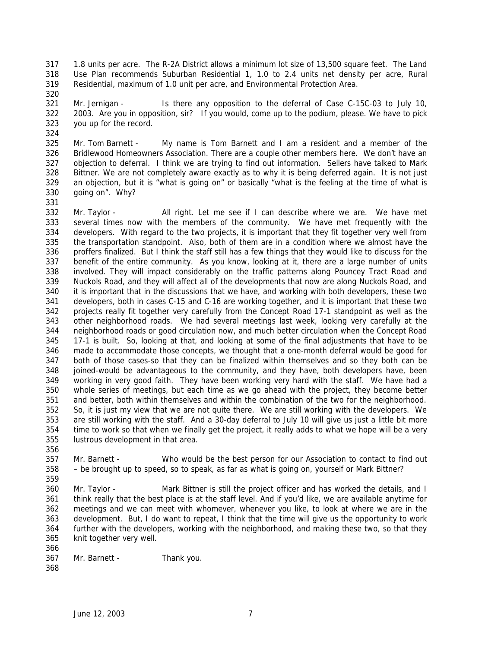1.8 units per acre. The R-2A District allows a minimum lot size of 13,500 square feet. The Land Use Plan recommends Suburban Residential 1, 1.0 to 2.4 units net density per acre, Rural Residential, maximum of 1.0 unit per acre, and Environmental Protection Area.

 Mr. Jernigan - Is there any opposition to the deferral of Case C-15C-03 to July 10, 2003. Are you in opposition, sir? If you would, come up to the podium, please. We have to pick you up for the record.

 Mr. Tom Barnett - My name is Tom Barnett and I am a resident and a member of the Bridlewood Homeowners Association. There are a couple other members here. We don't have an objection to deferral. I think we are trying to find out information. Sellers have talked to Mark Bittner. We are not completely aware exactly as to why it is being deferred again. It is not just an objection, but it is "what is going on" or basically "what is the feeling at the time of what is going on". Why?

 Mr. Taylor - All right. Let me see if I can describe where we are. We have met several times now with the members of the community. We have met frequently with the developers. With regard to the two projects, it is important that they fit together very well from the transportation standpoint. Also, both of them are in a condition where we almost have the proffers finalized. But I think the staff still has a few things that they would like to discuss for the benefit of the entire community. As you know, looking at it, there are a large number of units involved. They will impact considerably on the traffic patterns along Pouncey Tract Road and Nuckols Road, and they will affect all of the developments that now are along Nuckols Road, and it is important that in the discussions that we have, and working with both developers, these two developers, both in cases C-15 and C-16 are working together, and it is important that these two projects really fit together very carefully from the Concept Road 17-1 standpoint as well as the other neighborhood roads. We had several meetings last week, looking very carefully at the neighborhood roads or good circulation now, and much better circulation when the Concept Road 17-1 is built. So, looking at that, and looking at some of the final adjustments that have to be made to accommodate those concepts, we thought that a one-month deferral would be good for both of those cases-so that they can be finalized within themselves and so they both can be joined-would be advantageous to the community, and they have, both developers have, been working in very good faith. They have been working very hard with the staff. We have had a whole series of meetings, but each time as we go ahead with the project, they become better and better, both within themselves and within the combination of the two for the neighborhood. So, it is just my view that we are not quite there. We are still working with the developers. We are still working with the staff. And a 30-day deferral to July 10 will give us just a little bit more time to work so that when we finally get the project, it really adds to what we hope will be a very lustrous development in that area.

 Mr. Barnett - Who would be the best person for our Association to contact to find out – be brought up to speed, so to speak, as far as what is going on, yourself or Mark Bittner?

 Mr. Taylor - Mark Bittner is still the project officer and has worked the details, and I think really that the best place is at the staff level. And if you'd like, we are available anytime for meetings and we can meet with whomever, whenever you like, to look at where we are in the development. But, I do want to repeat, I think that the time will give us the opportunity to work further with the developers, working with the neighborhood, and making these two, so that they knit together very well.

- Mr. Barnett Thank you.
-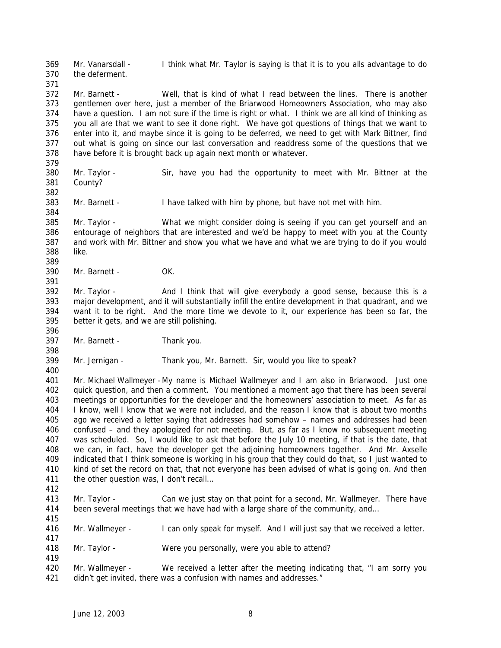Mr. Vanarsdall - I think what Mr. Taylor is saying is that it is to you alls advantage to do the deferment.

 Mr. Barnett - Well, that is kind of what I read between the lines. There is another gentlemen over here, just a member of the Briarwood Homeowners Association, who may also have a question. I am not sure if the time is right or what. I think we are all kind of thinking as you all are that we want to see it done right. We have got questions of things that we want to enter into it, and maybe since it is going to be deferred, we need to get with Mark Bittner, find out what is going on since our last conversation and readdress some of the questions that we have before it is brought back up again next month or whatever.

- Mr. Taylor Sir, have you had the opportunity to meet with Mr. Bittner at the County?
- Mr. Barnett I have talked with him by phone, but have not met with him.

 Mr. Taylor - What we might consider doing is seeing if you can get yourself and an entourage of neighbors that are interested and we'd be happy to meet with you at the County and work with Mr. Bittner and show you what we have and what we are trying to do if you would like. 

Mr. Barnett - OK.

 Mr. Taylor - And I think that will give everybody a good sense, because this is a major development, and it will substantially infill the entire development in that quadrant, and we want it to be right. And the more time we devote to it, our experience has been so far, the better it gets, and we are still polishing.

Mr. Barnett - Thank you.

Mr. Jernigan - Thank you, Mr. Barnett. Sir, would you like to speak?

 Mr. Michael Wallmeyer -My name is Michael Wallmeyer and I am also in Briarwood. Just one quick question, and then a comment. You mentioned a moment ago that there has been several meetings or opportunities for the developer and the homeowners' association to meet. As far as I know, well I know that we were not included, and the reason I know that is about two months ago we received a letter saying that addresses had somehow – names and addresses had been confused – and they apologized for not meeting. But, as far as I know no subsequent meeting was scheduled. So, I would like to ask that before the July 10 meeting, if that is the date, that we can, in fact, have the developer get the adjoining homeowners together. And Mr. Axselle indicated that I think someone is working in his group that they could do that, so I just wanted to kind of set the record on that, that not everyone has been advised of what is going on. And then 411 the other question was, I don't recall...

 Mr. Taylor - Can we just stay on that point for a second, Mr. Wallmeyer. There have been several meetings that we have had with a large share of the community, and…

 Mr. Wallmeyer - I can only speak for myself. And I will just say that we received a letter. 

Mr. Taylor - Were you personally, were you able to attend?

 Mr. Wallmeyer - We received a letter after the meeting indicating that, "I am sorry you 421 didn't get invited, there was a confusion with names and addresses."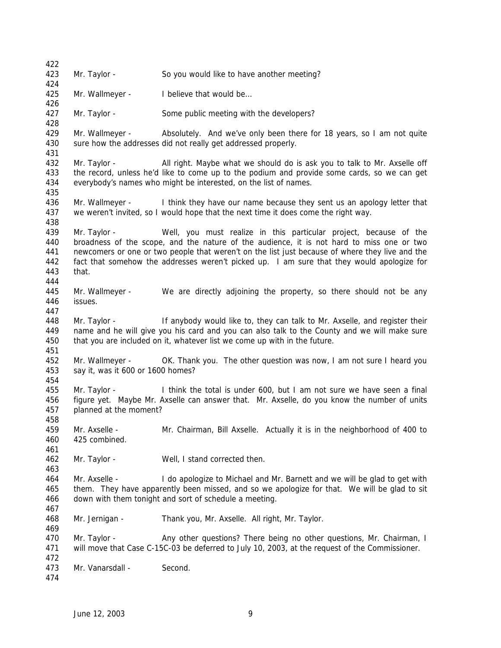Mr. Taylor - So you would like to have another meeting? 425 Mr. Wallmeyer - I believe that would be... Mr. Taylor - Some public meeting with the developers? Mr. Wallmeyer - Absolutely. And we've only been there for 18 years, so I am not quite 430 sure how the addresses did not really get addressed properly. 432 Mr. Taylor - All right. Maybe what we should do is ask you to talk to Mr. Axselle off the record, unless he'd like to come up to the podium and provide some cards, so we can get everybody's names who might be interested, on the list of names. Mr. Wallmeyer - I think they have our name because they sent us an apology letter that we weren't invited, so I would hope that the next time it does come the right way. Mr. Taylor - Well, you must realize in this particular project, because of the broadness of the scope, and the nature of the audience, it is not hard to miss one or two newcomers or one or two people that weren't on the list just because of where they live and the fact that somehow the addresses weren't picked up. I am sure that they would apologize for that. Mr. Wallmeyer - We are directly adjoining the property, so there should not be any issues. Mr. Taylor - If anybody would like to, they can talk to Mr. Axselle, and register their name and he will give you his card and you can also talk to the County and we will make sure that you are included on it, whatever list we come up with in the future. Mr. Wallmeyer - OK. Thank you. The other question was now, I am not sure I heard you say it, was it 600 or 1600 homes? Mr. Taylor - I think the total is under 600, but I am not sure we have seen a final figure yet. Maybe Mr. Axselle can answer that. Mr. Axselle, do you know the number of units planned at the moment? Mr. Axselle - Mr. Chairman, Bill Axselle. Actually it is in the neighborhood of 400 to 425 combined. Mr. Taylor - Well, I stand corrected then. Mr. Axselle - I do apologize to Michael and Mr. Barnett and we will be glad to get with them. They have apparently been missed, and so we apologize for that. We will be glad to sit down with them tonight and sort of schedule a meeting. Mr. Jernigan - Thank you, Mr. Axselle. All right, Mr. Taylor. 470 Mr. Taylor - Any other questions? There being no other questions, Mr. Chairman, I will move that Case C-15C-03 be deferred to July 10, 2003, at the request of the Commissioner. 473 Mr. Vanarsdall - Second.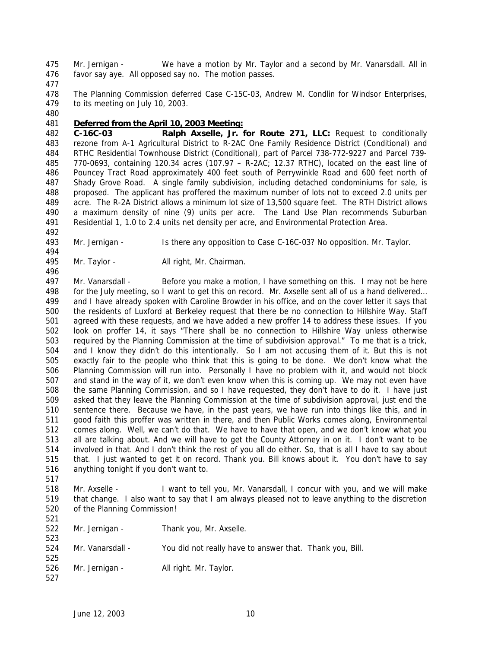Mr. Jernigan - We have a motion by Mr. Taylor and a second by Mr. Vanarsdall. All in favor say aye. All opposed say no. The motion passes.

 The Planning Commission deferred Case C-15C-03, Andrew M. Condlin for Windsor Enterprises, to its meeting on July 10, 2003.

## *Deferred from the April 10, 2003 Meeting:*

 **C-16C-03 Ralph Axselle, Jr. for Route 271, LLC:** Request to conditionally rezone from A-1 Agricultural District to R-2AC One Family Residence District (Conditional) and RTHC Residential Townhouse District (Conditional), part of Parcel 738-772-9227 and Parcel 739- 770-0693, containing 120.34 acres (107.97 – R-2AC; 12.37 RTHC), located on the east line of Pouncey Tract Road approximately 400 feet south of Perrywinkle Road and 600 feet north of Shady Grove Road. A single family subdivision, including detached condominiums for sale, is proposed. The applicant has proffered the maximum number of lots not to exceed 2.0 units per acre. The R-2A District allows a minimum lot size of 13,500 square feet. The RTH District allows a maximum density of nine (9) units per acre. The Land Use Plan recommends Suburban Residential 1, 1.0 to 2.4 units net density per acre, and Environmental Protection Area.

Mr. Jernigan - Is there any opposition to Case C-16C-03? No opposition. Mr. Taylor.

Mr. Taylor - All right, Mr. Chairman.

 Mr. Vanarsdall - Before you make a motion, I have something on this. I may not be here for the July meeting, so I want to get this on record. Mr. Axselle sent all of us a hand delivered… and I have already spoken with Caroline Browder in his office, and on the cover letter it says that the residents of Luxford at Berkeley request that there be no connection to Hillshire Way. Staff agreed with these requests, and we have added a new proffer 14 to address these issues. If you look on proffer 14, it says "There shall be no connection to Hillshire Way unless otherwise required by the Planning Commission at the time of subdivision approval." To me that is a trick, and I know they didn't do this intentionally. So I am not accusing them of it. But this is not exactly fair to the people who think that this is going to be done. We don't know what the Planning Commission will run into. Personally I have no problem with it, and would not block and stand in the way of it, we don't even know when this is coming up. We may not even have the same Planning Commission, and so I have requested, they don't have to do it. I have just asked that they leave the Planning Commission at the time of subdivision approval, just end the sentence there. Because we have, in the past years, we have run into things like this, and in good faith this proffer was written in there, and then Public Works comes along, Environmental comes along. Well, we can't do that. We have to have that open, and we don't know what you all are talking about. And we will have to get the County Attorney in on it. I don't want to be involved in that. And I don't think the rest of you all do either. So, that is all I have to say about that. I just wanted to get it on record. Thank you. Bill knows about it. You don't have to say anything tonight if you don't want to.

 Mr. Axselle - I want to tell you, Mr. Vanarsdall, I concur with you, and we will make that change. I also want to say that I am always pleased not to leave anything to the discretion of the Planning Commission!

| 521 |                  |                                                          |
|-----|------------------|----------------------------------------------------------|
| 522 | Mr. Jernigan -   | Thank you, Mr. Axselle.                                  |
| 523 |                  |                                                          |
| 524 | Mr. Vanarsdall - | You did not really have to answer that. Thank you, Bill. |
| 525 |                  |                                                          |
| 526 | Mr. Jernigan -   | All right. Mr. Taylor.                                   |
| 527 |                  |                                                          |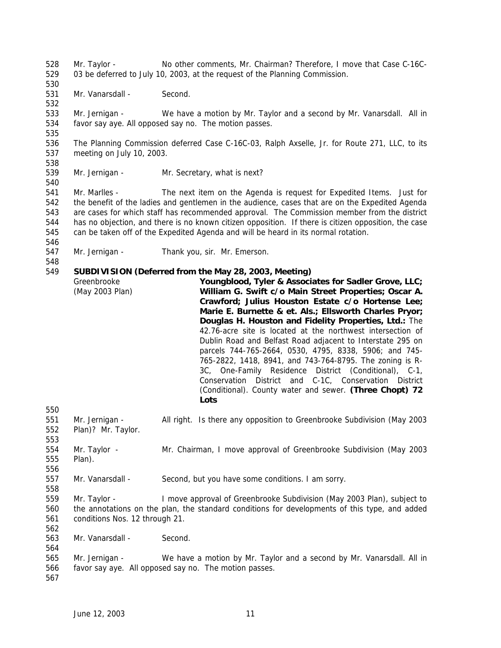Mr. Taylor - No other comments, Mr. Chairman? Therefore, I move that Case C-16C- 03 be deferred to July 10, 2003, at the request of the Planning Commission. 531 Mr. Vanarsdall - Second. Mr. Jernigan - We have a motion by Mr. Taylor and a second by Mr. Vanarsdall. All in favor say aye. All opposed say no. The motion passes. The Planning Commission deferred Case C-16C-03, Ralph Axselle, Jr. for Route 271, LLC, to its meeting on July 10, 2003. Mr. Jernigan - Mr. Secretary, what is next? Mr. Marlles - The next item on the Agenda is request for Expedited Items. Just for the benefit of the ladies and gentlemen in the audience, cases that are on the Expedited Agenda are cases for which staff has recommended approval. The Commission member from the district has no objection, and there is no known citizen opposition. If there is citizen opposition, the case can be taken off of the Expedited Agenda and will be heard in its normal rotation. Mr. Jernigan - Thank you, sir. Mr. Emerson. **SUBDIVISION (Deferred from the May 28, 2003, Meeting)** Greenbrooke (May 2003 Plan) **Youngblood, Tyler & Associates for Sadler Grove, LLC; William G. Swift c/o Main Street Properties; Oscar A. Crawford; Julius Houston Estate c/o Hortense Lee; Marie E. Burnette & et. Als.; Ellsworth Charles Pryor; Douglas H. Houston and Fidelity Properties, Ltd.:** The 42.76-acre site is located at the northwest intersection of Dublin Road and Belfast Road adjacent to Interstate 295 on parcels 744-765-2664, 0530, 4795, 8338, 5906; and 745- 765-2822, 1418, 8941, and 743-764-8795. The zoning is R-3C, One-Family Residence District (Conditional), C-1, Conservation District and C-1C, Conservation District (Conditional). County water and sewer. **(Three Chopt) 72 Lots** Mr. Jernigan - All right. Is there any opposition to Greenbrooke Subdivision (May 2003 Plan)? Mr. Taylor. Mr. Taylor - Mr. Chairman, I move approval of Greenbrooke Subdivision (May 2003 Plan). Mr. Vanarsdall - Second, but you have some conditions. I am sorry. Mr. Taylor - I move approval of Greenbrooke Subdivision (May 2003 Plan), subject to the annotations on the plan, the standard conditions for developments of this type, and added conditions Nos. 12 through 21. Mr. Vanarsdall - Second. Mr. Jernigan - We have a motion by Mr. Taylor and a second by Mr. Vanarsdall. All in favor say aye. All opposed say no. The motion passes.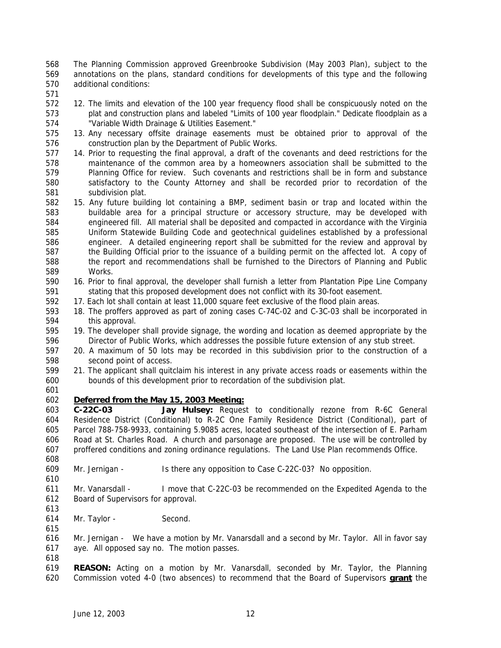The Planning Commission approved Greenbrooke Subdivision (May 2003 Plan), subject to the annotations on the plans, standard conditions for developments of this type and the following additional conditions:

- 
- 12. The limits and elevation of the 100 year frequency flood shall be conspicuously noted on the plat and construction plans and labeled "Limits of 100 year floodplain." Dedicate floodplain as a "Variable Width Drainage & Utilities Easement."
- 13. Any necessary offsite drainage easements must be obtained prior to approval of the construction plan by the Department of Public Works.
- 14. Prior to requesting the final approval, a draft of the covenants and deed restrictions for the maintenance of the common area by a homeowners association shall be submitted to the Planning Office for review. Such covenants and restrictions shall be in form and substance satisfactory to the County Attorney and shall be recorded prior to recordation of the subdivision plat.
- 15. Any future building lot containing a BMP, sediment basin or trap and located within the buildable area for a principal structure or accessory structure, may be developed with engineered fill. All material shall be deposited and compacted in accordance with the Virginia Uniform Statewide Building Code and geotechnical guidelines established by a professional engineer. A detailed engineering report shall be submitted for the review and approval by the Building Official prior to the issuance of a building permit on the affected lot. A copy of the report and recommendations shall be furnished to the Directors of Planning and Public Works.
- 16. Prior to final approval, the developer shall furnish a letter from Plantation Pipe Line Company stating that this proposed development does not conflict with its 30-foot easement.
- 17. Each lot shall contain at least 11,000 square feet exclusive of the flood plain areas.
- 18. The proffers approved as part of zoning cases C-74C-02 and C-3C-03 shall be incorporated in this approval.
- 19. The developer shall provide signage, the wording and location as deemed appropriate by the Director of Public Works, which addresses the possible future extension of any stub street.
- 20. A maximum of 50 lots may be recorded in this subdivision prior to the construction of a second point of access.
- 21. The applicant shall quitclaim his interest in any private access roads or easements within the bounds of this development prior to recordation of the subdivision plat.
- 

## *Deferred from the May 15, 2003 Meeting:*

 **C-22C-03 Jay Hulsey:** Request to conditionally rezone from R-6C General Residence District (Conditional) to R-2C One Family Residence District (Conditional), part of Parcel 788-758-9933, containing 5.9085 acres, located southeast of the intersection of E. Parham Road at St. Charles Road. A church and parsonage are proposed. The use will be controlled by proffered conditions and zoning ordinance regulations. The Land Use Plan recommends Office. 

- Mr. Jernigan Is there any opposition to Case C-22C-03? No opposition.
- Mr. Vanarsdall - I move that C-22C-03 be recommended on the Expedited Agenda to the Board of Supervisors for approval.
- 

Mr. Taylor - Second.

 Mr. Jernigan - We have a motion by Mr. Vanarsdall and a second by Mr. Taylor. All in favor say aye. All opposed say no. The motion passes.

- 
- **REASON:** Acting on a motion by Mr. Vanarsdall, seconded by Mr. Taylor, the Planning Commission voted 4-0 (two absences) to recommend that the Board of Supervisors **grant** the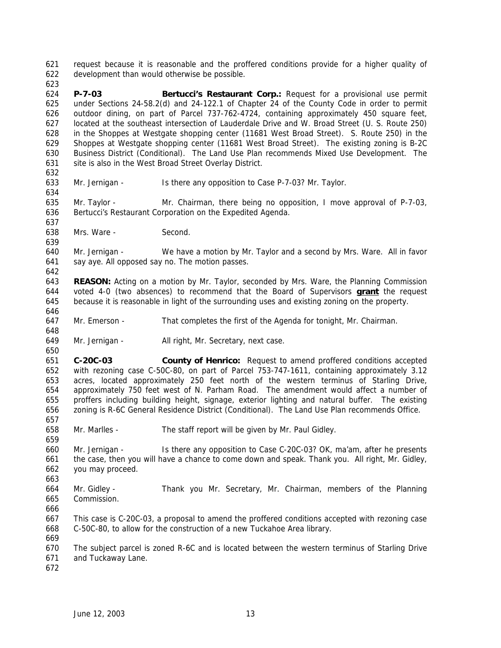request because it is reasonable and the proffered conditions provide for a higher quality of development than would otherwise be possible.

 **P-7-03 Bertucci's Restaurant Corp.:** Request for a provisional use permit under Sections 24-58.2(d) and 24-122.1 of Chapter 24 of the County Code in order to permit outdoor dining, on part of Parcel 737-762-4724, containing approximately 450 square feet, located at the southeast intersection of Lauderdale Drive and W. Broad Street (U. S. Route 250) in the Shoppes at Westgate shopping center (11681 West Broad Street). S. Route 250) in the Shoppes at Westgate shopping center (11681 West Broad Street). The existing zoning is B-2C Business District (Conditional). The Land Use Plan recommends Mixed Use Development. The 631 site is also in the West Broad Street Overlay District.

Mr. Jernigan - Is there any opposition to Case P-7-03? Mr. Taylor.

 Mr. Taylor - Mr. Chairman, there being no opposition, I move approval of P-7-03, Bertucci's Restaurant Corporation on the Expedited Agenda.

Mrs. Ware - Second.

 Mr. Jernigan - We have a motion by Mr. Taylor and a second by Mrs. Ware. All in favor say aye. All opposed say no. The motion passes.

 **REASON:** Acting on a motion by Mr. Taylor, seconded by Mrs. Ware, the Planning Commission voted 4-0 (two absences) to recommend that the Board of Supervisors **grant** the request because it is reasonable in light of the surrounding uses and existing zoning on the property.

Mr. Emerson - That completes the first of the Agenda for tonight, Mr. Chairman.

Mr. Jernigan - All right, Mr. Secretary, next case.

 **C-20C-03 County of Henrico:** Request to amend proffered conditions accepted with rezoning case C-50C-80, on part of Parcel 753-747-1611, containing approximately 3.12 acres, located approximately 250 feet north of the western terminus of Starling Drive, approximately 750 feet west of N. Parham Road. The amendment would affect a number of proffers including building height, signage, exterior lighting and natural buffer. The existing zoning is R-6C General Residence District (Conditional). The Land Use Plan recommends Office.

Mr. Marlles - The staff report will be given by Mr. Paul Gidley.

 Mr. Jernigan - Is there any opposition to Case C-20C-03? OK, ma'am, after he presents the case, then you will have a chance to come down and speak. Thank you. All right, Mr. Gidley, you may proceed.

 Mr. Gidley - Thank you Mr. Secretary, Mr. Chairman, members of the Planning Commission.

 This case is C-20C-03, a proposal to amend the proffered conditions accepted with rezoning case C-50C-80, to allow for the construction of a new Tuckahoe Area library. 

 The subject parcel is zoned R-6C and is located between the western terminus of Starling Drive and Tuckaway Lane.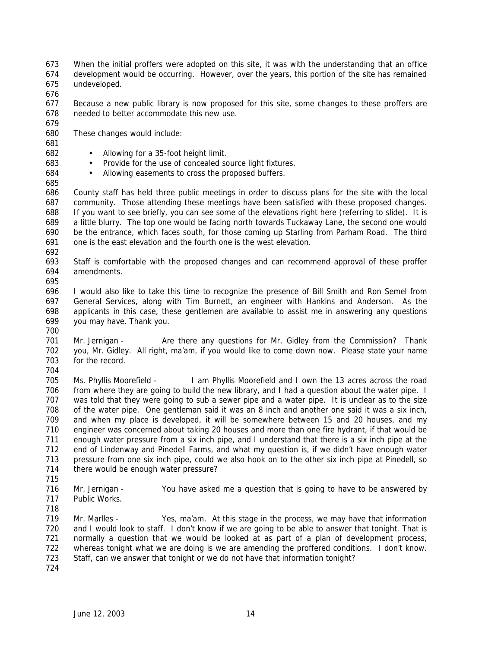When the initial proffers were adopted on this site, it was with the understanding that an office development would be occurring. However, over the years, this portion of the site has remained undeveloped.

 Because a new public library is now proposed for this site, some changes to these proffers are needed to better accommodate this new use.

These changes would include:

• Allowing for a 35-foot height limit.

- Provide for the use of concealed source light fixtures.
- Allowing easements to cross the proposed buffers.

 County staff has held three public meetings in order to discuss plans for the site with the local community. Those attending these meetings have been satisfied with these proposed changes. If you want to see briefly, you can see some of the elevations right here (referring to slide). It is a little blurry. The top one would be facing north towards Tuckaway Lane, the second one would be the entrance, which faces south, for those coming up Starling from Parham Road. The third one is the east elevation and the fourth one is the west elevation.

 Staff is comfortable with the proposed changes and can recommend approval of these proffer amendments.

 I would also like to take this time to recognize the presence of Bill Smith and Ron Semel from General Services, along with Tim Burnett, an engineer with Hankins and Anderson. As the applicants in this case, these gentlemen are available to assist me in answering any questions you may have. Thank you.

701 Mr. Jernigan - Are there any questions for Mr. Gidley from the Commission? Thank you, Mr. Gidley. All right, ma'am, if you would like to come down now. Please state your name for the record.

 Ms. Phyllis Moorefield - I am Phyllis Moorefield and I own the 13 acres across the road from where they are going to build the new library, and I had a question about the water pipe. I 707 was told that they were going to sub a sewer pipe and a water pipe. It is unclear as to the size<br>708 of the water pipe. One gentleman said it was an 8 inch and another one said it was a six inch, of the water pipe. One gentleman said it was an 8 inch and another one said it was a six inch, and when my place is developed, it will be somewhere between 15 and 20 houses, and my engineer was concerned about taking 20 houses and more than one fire hydrant, if that would be enough water pressure from a six inch pipe, and I understand that there is a six inch pipe at the end of Lindenway and Pinedell Farms, and what my question is, if we didn't have enough water pressure from one six inch pipe, could we also hook on to the other six inch pipe at Pinedell, so there would be enough water pressure?

 Mr. Jernigan - You have asked me a question that is going to have to be answered by Public Works.

 Mr. Marlles - Yes, ma'am. At this stage in the process, we may have that information and I would look to staff. I don't know if we are going to be able to answer that tonight. That is normally a question that we would be looked at as part of a plan of development process, whereas tonight what we are doing is we are amending the proffered conditions. I don't know. Staff, can we answer that tonight or we do not have that information tonight?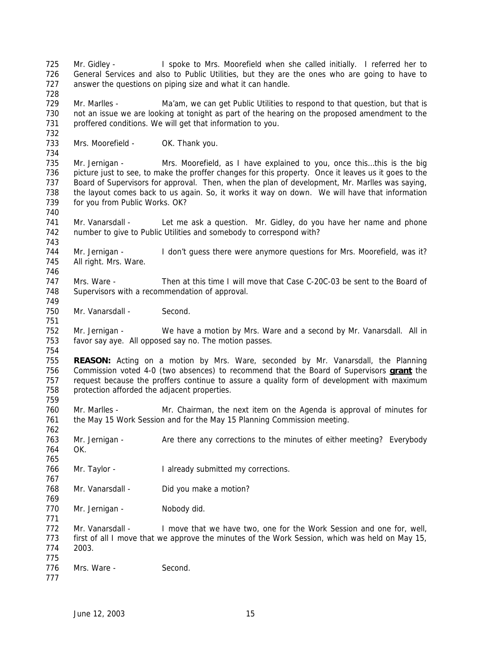Mr. Gidley - I spoke to Mrs. Moorefield when she called initially. I referred her to General Services and also to Public Utilities, but they are the ones who are going to have to answer the questions on piping size and what it can handle. 729 Mr. Marlles - Ma'am, we can get Public Utilities to respond to that question, but that is not an issue we are looking at tonight as part of the hearing on the proposed amendment to the proffered conditions. We will get that information to you. 733 Mrs. Moorefield - OK. Thank you. Mr. Jernigan - Mrs. Moorefield, as I have explained to you, once this…this is the big picture just to see, to make the proffer changes for this property. Once it leaves us it goes to the Board of Supervisors for approval. Then, when the plan of development, Mr. Marlles was saying, the layout comes back to us again. So, it works it way on down. We will have that information for you from Public Works. OK? Mr. Vanarsdall - Let me ask a question. Mr. Gidley, do you have her name and phone number to give to Public Utilities and somebody to correspond with? 744 Mr. Jernigan - I don't guess there were anymore questions for Mrs. Moorefield, was it? All right. Mrs. Ware. Mrs. Ware - Then at this time I will move that Case C-20C-03 be sent to the Board of Supervisors with a recommendation of approval. 750 Mr. Vanarsdall - Second. Mr. Jernigan - We have a motion by Mrs. Ware and a second by Mr. Vanarsdall. All in favor say aye. All opposed say no. The motion passes. **REASON:** Acting on a motion by Mrs. Ware, seconded by Mr. Vanarsdall, the Planning Commission voted 4-0 (two absences) to recommend that the Board of Supervisors **grant** the request because the proffers continue to assure a quality form of development with maximum protection afforded the adjacent properties. Mr. Marlles - Mr. Chairman, the next item on the Agenda is approval of minutes for the May 15 Work Session and for the May 15 Planning Commission meeting. 763 Mr. Jernigan - Are there any corrections to the minutes of either meeting? Everybody OK. Mr. Taylor - I already submitted my corrections. 768 Mr. Vanarsdall - Did you make a motion? 770 Mr. Jernigan - Nobody did. Mr. Vanarsdall - I move that we have two, one for the Work Session and one for, well, first of all I move that we approve the minutes of the Work Session, which was held on May 15, 2003. 776 Mrs. Ware - Second.